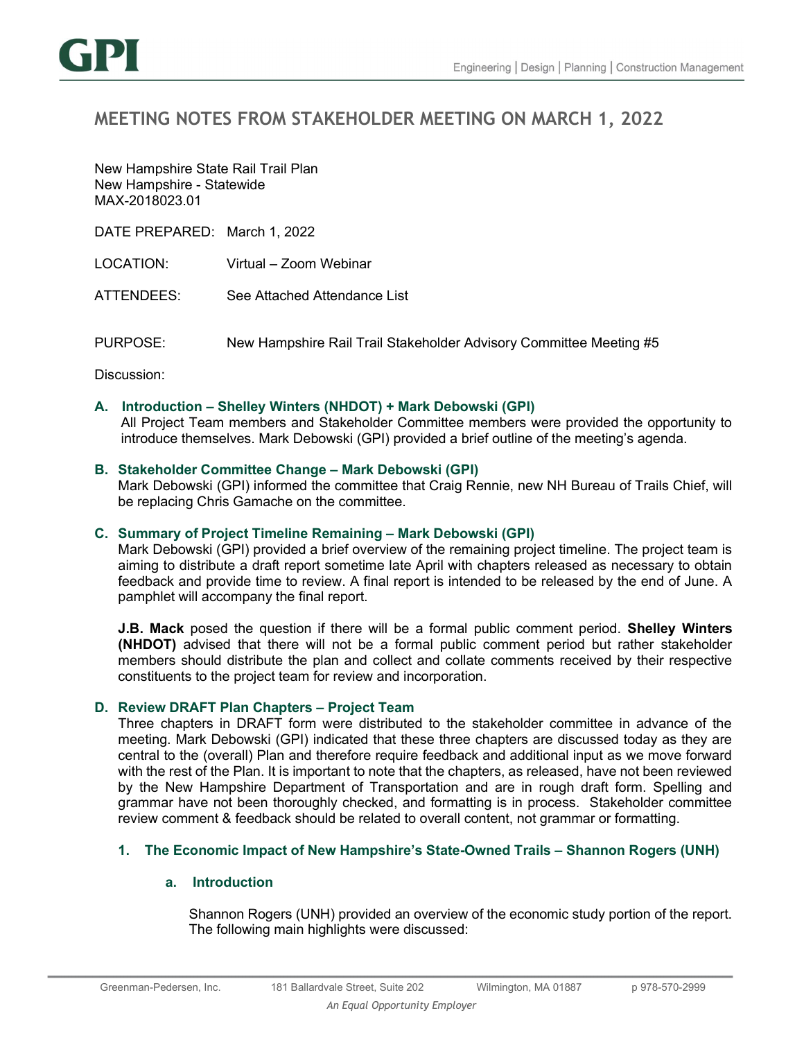

# MEETING NOTES FROM STAKEHOLDER MEETING ON MARCH 1, 2022

New Hampshire State Rail Trail Plan New Hampshire - Statewide MAX-2018023.01

DATE PREPARED: March 1, 2022

LOCATION: Virtual – Zoom Webinar

ATTENDEES: See Attached Attendance List

PURPOSE: New Hampshire Rail Trail Stakeholder Advisory Committee Meeting #5

Discussion:

## A. Introduction – Shelley Winters (NHDOT) + Mark Debowski (GPI)

All Project Team members and Stakeholder Committee members were provided the opportunity to introduce themselves. Mark Debowski (GPI) provided a brief outline of the meeting's agenda.

## B. Stakeholder Committee Change – Mark Debowski (GPI)

Mark Debowski (GPI) informed the committee that Craig Rennie, new NH Bureau of Trails Chief, will be replacing Chris Gamache on the committee.

#### C. Summary of Project Timeline Remaining – Mark Debowski (GPI)

Mark Debowski (GPI) provided a brief overview of the remaining project timeline. The project team is aiming to distribute a draft report sometime late April with chapters released as necessary to obtain feedback and provide time to review. A final report is intended to be released by the end of June. A pamphlet will accompany the final report.

J.B. Mack posed the question if there will be a formal public comment period. Shelley Winters (NHDOT) advised that there will not be a formal public comment period but rather stakeholder members should distribute the plan and collect and collate comments received by their respective constituents to the project team for review and incorporation.

# D. Review DRAFT Plan Chapters – Project Team

Three chapters in DRAFT form were distributed to the stakeholder committee in advance of the meeting. Mark Debowski (GPI) indicated that these three chapters are discussed today as they are central to the (overall) Plan and therefore require feedback and additional input as we move forward with the rest of the Plan. It is important to note that the chapters, as released, have not been reviewed by the New Hampshire Department of Transportation and are in rough draft form. Spelling and grammar have not been thoroughly checked, and formatting is in process. Stakeholder committee review comment & feedback should be related to overall content, not grammar or formatting.

# 1. The Economic Impact of New Hampshire's State-Owned Trails – Shannon Rogers (UNH)

## a. Introduction

Shannon Rogers (UNH) provided an overview of the economic study portion of the report. The following main highlights were discussed: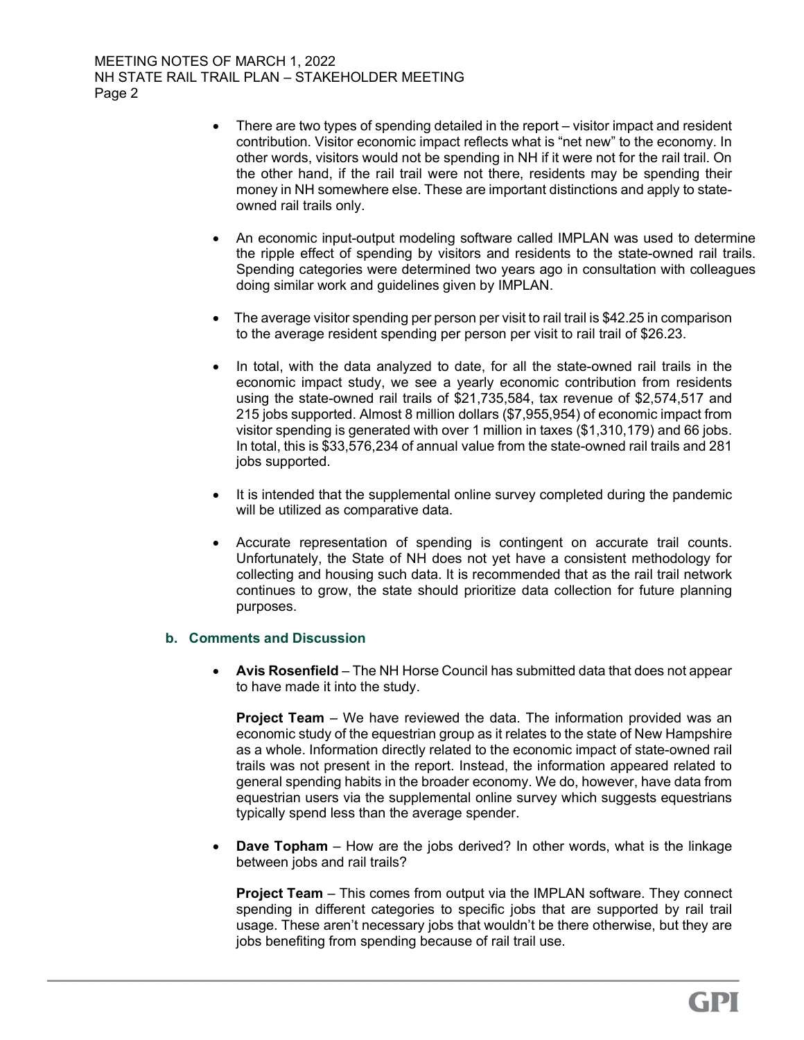- There are two types of spending detailed in the report visitor impact and resident contribution. Visitor economic impact reflects what is "net new" to the economy. In other words, visitors would not be spending in NH if it were not for the rail trail. On the other hand, if the rail trail were not there, residents may be spending their money in NH somewhere else. These are important distinctions and apply to stateowned rail trails only.
- An economic input-output modeling software called IMPLAN was used to determine the ripple effect of spending by visitors and residents to the state-owned rail trails. Spending categories were determined two years ago in consultation with colleagues doing similar work and guidelines given by IMPLAN.
- The average visitor spending per person per visit to rail trail is \$42.25 in comparison to the average resident spending per person per visit to rail trail of \$26.23.
- In total, with the data analyzed to date, for all the state-owned rail trails in the economic impact study, we see a yearly economic contribution from residents using the state-owned rail trails of \$21,735,584, tax revenue of \$2,574,517 and 215 jobs supported. Almost 8 million dollars (\$7,955,954) of economic impact from visitor spending is generated with over 1 million in taxes (\$1,310,179) and 66 jobs. In total, this is \$33,576,234 of annual value from the state-owned rail trails and 281 jobs supported.
- It is intended that the supplemental online survey completed during the pandemic will be utilized as comparative data.
- Accurate representation of spending is contingent on accurate trail counts. Unfortunately, the State of NH does not yet have a consistent methodology for collecting and housing such data. It is recommended that as the rail trail network continues to grow, the state should prioritize data collection for future planning purposes.

# b. Comments and Discussion

• Avis Rosenfield – The NH Horse Council has submitted data that does not appear to have made it into the study.

Project Team – We have reviewed the data. The information provided was an economic study of the equestrian group as it relates to the state of New Hampshire as a whole. Information directly related to the economic impact of state-owned rail trails was not present in the report. Instead, the information appeared related to general spending habits in the broader economy. We do, however, have data from equestrian users via the supplemental online survey which suggests equestrians typically spend less than the average spender.

 Dave Topham – How are the jobs derived? In other words, what is the linkage between jobs and rail trails?

Project Team – This comes from output via the IMPLAN software. They connect spending in different categories to specific jobs that are supported by rail trail usage. These aren't necessary jobs that wouldn't be there otherwise, but they are jobs benefiting from spending because of rail trail use.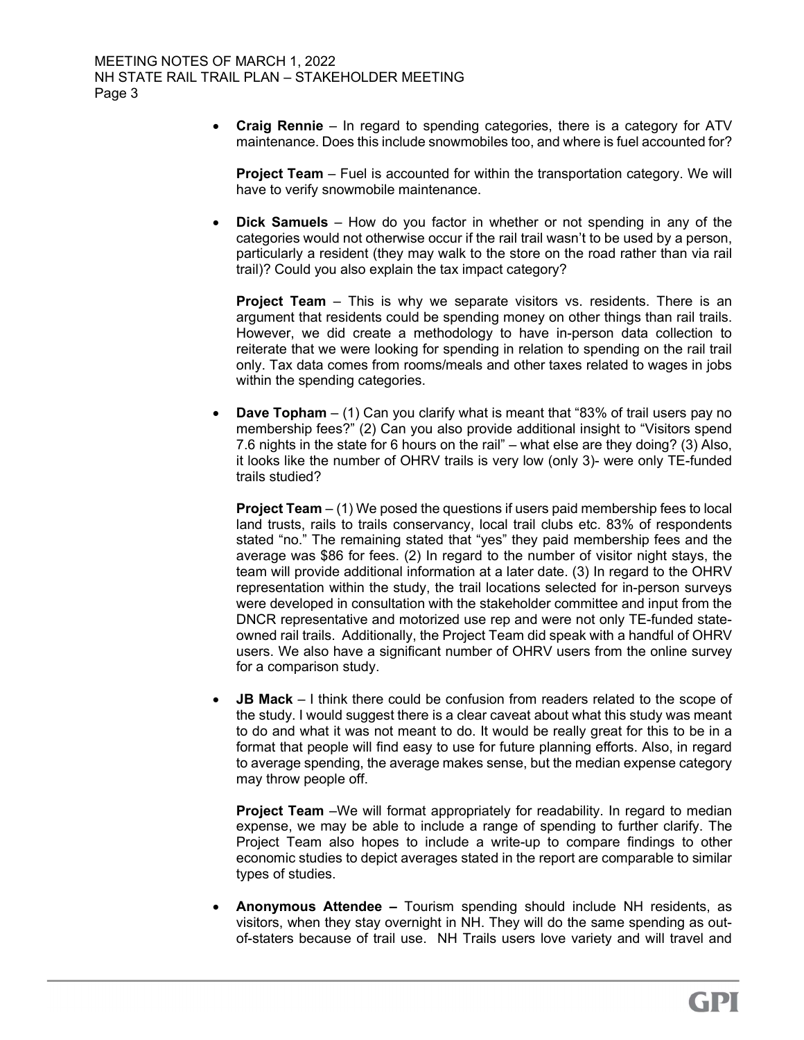Craig Rennie – In regard to spending categories, there is a category for ATV maintenance. Does this include snowmobiles too, and where is fuel accounted for?

Project Team – Fuel is accounted for within the transportation category. We will have to verify snowmobile maintenance.

 Dick Samuels – How do you factor in whether or not spending in any of the categories would not otherwise occur if the rail trail wasn't to be used by a person, particularly a resident (they may walk to the store on the road rather than via rail trail)? Could you also explain the tax impact category?

**Project Team** – This is why we separate visitors vs. residents. There is an argument that residents could be spending money on other things than rail trails. However, we did create a methodology to have in-person data collection to reiterate that we were looking for spending in relation to spending on the rail trail only. Tax data comes from rooms/meals and other taxes related to wages in jobs within the spending categories.

**Dave Topham** – (1) Can you clarify what is meant that "83% of trail users pay no membership fees?" (2) Can you also provide additional insight to "Visitors spend 7.6 nights in the state for 6 hours on the rail" – what else are they doing? (3) Also, it looks like the number of OHRV trails is very low (only 3)- were only TE-funded trails studied?

**Project Team**  $-$  (1) We posed the questions if users paid membership fees to local land trusts, rails to trails conservancy, local trail clubs etc. 83% of respondents stated "no." The remaining stated that "yes" they paid membership fees and the average was \$86 for fees. (2) In regard to the number of visitor night stays, the team will provide additional information at a later date. (3) In regard to the OHRV representation within the study, the trail locations selected for in-person surveys were developed in consultation with the stakeholder committee and input from the DNCR representative and motorized use rep and were not only TE-funded stateowned rail trails. Additionally, the Project Team did speak with a handful of OHRV users. We also have a significant number of OHRV users from the online survey for a comparison study.

 JB Mack – I think there could be confusion from readers related to the scope of the study. I would suggest there is a clear caveat about what this study was meant to do and what it was not meant to do. It would be really great for this to be in a format that people will find easy to use for future planning efforts. Also, in regard to average spending, the average makes sense, but the median expense category may throw people off.

**Project Team** –We will format appropriately for readability. In regard to median expense, we may be able to include a range of spending to further clarify. The Project Team also hopes to include a write-up to compare findings to other economic studies to depict averages stated in the report are comparable to similar types of studies.

 Anonymous Attendee – Tourism spending should include NH residents, as visitors, when they stay overnight in NH. They will do the same spending as outof-staters because of trail use. NH Trails users love variety and will travel and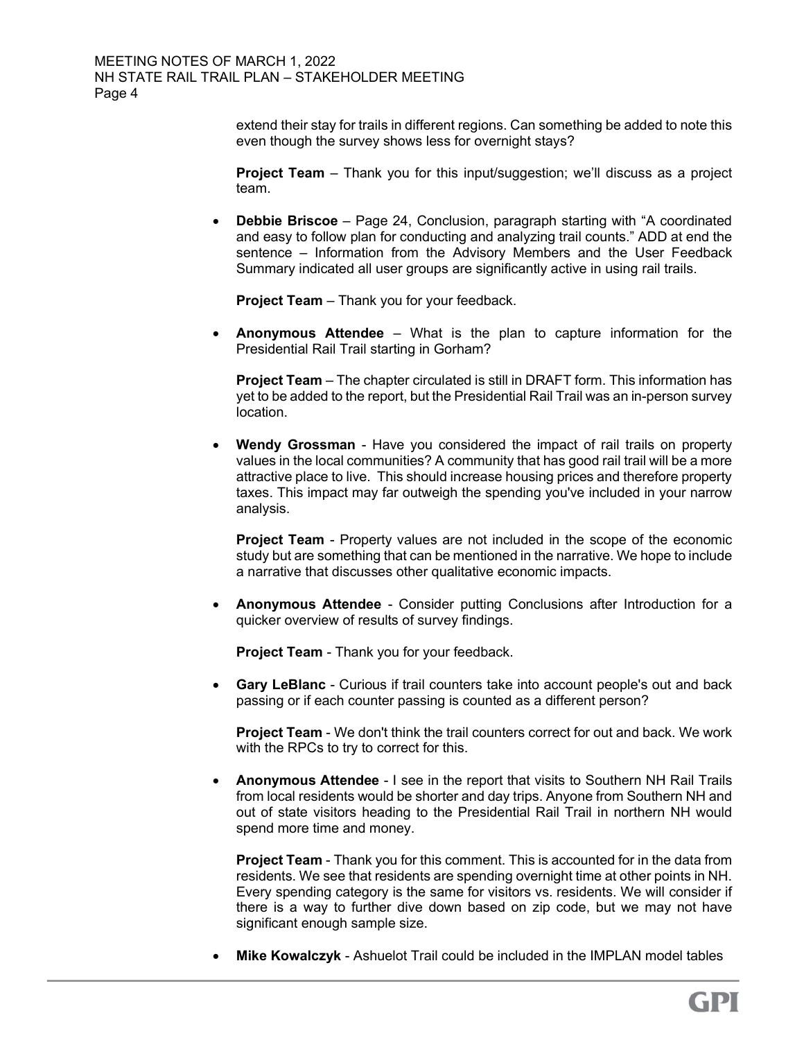extend their stay for trails in different regions. Can something be added to note this even though the survey shows less for overnight stays?

**Project Team** – Thank you for this input/suggestion; we'll discuss as a project team.

 Debbie Briscoe – Page 24, Conclusion, paragraph starting with "A coordinated and easy to follow plan for conducting and analyzing trail counts." ADD at end the sentence – Information from the Advisory Members and the User Feedback Summary indicated all user groups are significantly active in using rail trails.

Project Team - Thank you for your feedback.

**Anonymous Attendee** – What is the plan to capture information for the Presidential Rail Trail starting in Gorham?

Project Team – The chapter circulated is still in DRAFT form. This information has yet to be added to the report, but the Presidential Rail Trail was an in-person survey location.

 Wendy Grossman - Have you considered the impact of rail trails on property values in the local communities? A community that has good rail trail will be a more attractive place to live. This should increase housing prices and therefore property taxes. This impact may far outweigh the spending you've included in your narrow analysis.

Project Team - Property values are not included in the scope of the economic study but are something that can be mentioned in the narrative. We hope to include a narrative that discusses other qualitative economic impacts.

 Anonymous Attendee - Consider putting Conclusions after Introduction for a quicker overview of results of survey findings.

Project Team - Thank you for your feedback.

 Gary LeBlanc - Curious if trail counters take into account people's out and back passing or if each counter passing is counted as a different person?

Project Team - We don't think the trail counters correct for out and back. We work with the RPCs to try to correct for this.

 Anonymous Attendee - I see in the report that visits to Southern NH Rail Trails from local residents would be shorter and day trips. Anyone from Southern NH and out of state visitors heading to the Presidential Rail Trail in northern NH would spend more time and money.

Project Team - Thank you for this comment. This is accounted for in the data from residents. We see that residents are spending overnight time at other points in NH. Every spending category is the same for visitors vs. residents. We will consider if there is a way to further dive down based on zip code, but we may not have significant enough sample size.

• Mike Kowalczyk - Ashuelot Trail could be included in the IMPLAN model tables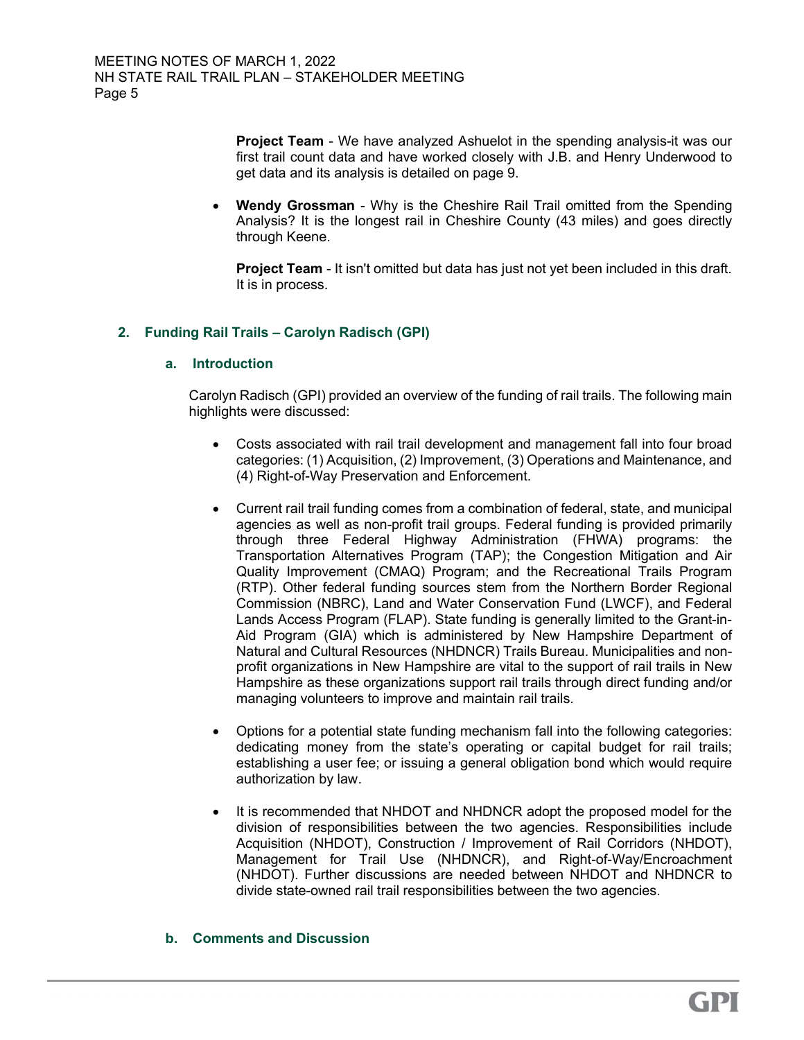**Project Team** - We have analyzed Ashuelot in the spending analysis-it was our first trail count data and have worked closely with J.B. and Henry Underwood to get data and its analysis is detailed on page 9.

 Wendy Grossman - Why is the Cheshire Rail Trail omitted from the Spending Analysis? It is the longest rail in Cheshire County (43 miles) and goes directly through Keene.

**Project Team - It isn't omitted but data has just not yet been included in this draft.** It is in process.

# 2. Funding Rail Trails – Carolyn Radisch (GPI)

## a. Introduction

Carolyn Radisch (GPI) provided an overview of the funding of rail trails. The following main highlights were discussed:

- Costs associated with rail trail development and management fall into four broad categories: (1) Acquisition, (2) Improvement, (3) Operations and Maintenance, and (4) Right-of-Way Preservation and Enforcement.
- Current rail trail funding comes from a combination of federal, state, and municipal agencies as well as non-profit trail groups. Federal funding is provided primarily through three Federal Highway Administration (FHWA) programs: the Transportation Alternatives Program (TAP); the Congestion Mitigation and Air Quality Improvement (CMAQ) Program; and the Recreational Trails Program (RTP). Other federal funding sources stem from the Northern Border Regional Commission (NBRC), Land and Water Conservation Fund (LWCF), and Federal Lands Access Program (FLAP). State funding is generally limited to the Grant-in-Aid Program (GIA) which is administered by New Hampshire Department of Natural and Cultural Resources (NHDNCR) Trails Bureau. Municipalities and nonprofit organizations in New Hampshire are vital to the support of rail trails in New Hampshire as these organizations support rail trails through direct funding and/or managing volunteers to improve and maintain rail trails.
- Options for a potential state funding mechanism fall into the following categories: dedicating money from the state's operating or capital budget for rail trails; establishing a user fee; or issuing a general obligation bond which would require authorization by law.
- It is recommended that NHDOT and NHDNCR adopt the proposed model for the division of responsibilities between the two agencies. Responsibilities include Acquisition (NHDOT), Construction / Improvement of Rail Corridors (NHDOT), Management for Trail Use (NHDNCR), and Right-of-Way/Encroachment (NHDOT). Further discussions are needed between NHDOT and NHDNCR to divide state-owned rail trail responsibilities between the two agencies.

#### b. Comments and Discussion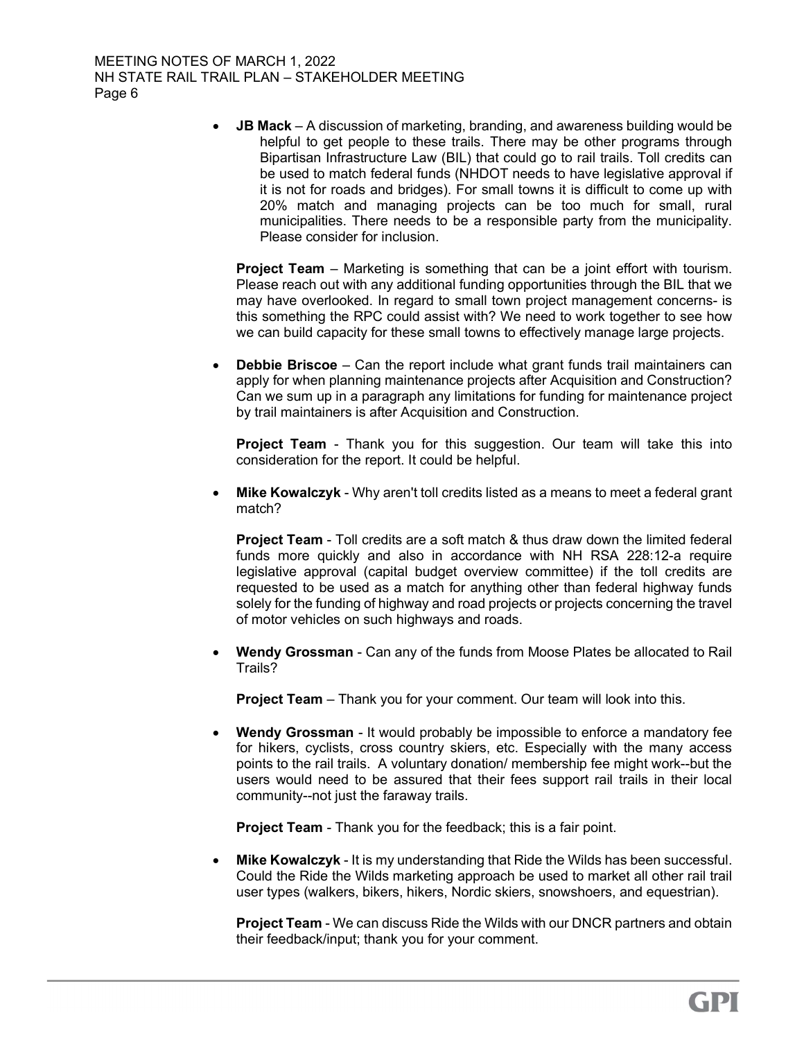MEETING NOTES OF MARCH 1, 2022 NH STATE RAIL TRAIL PLAN – STAKEHOLDER MEETING Page 6

> JB Mack – A discussion of marketing, branding, and awareness building would be helpful to get people to these trails. There may be other programs through Bipartisan Infrastructure Law (BIL) that could go to rail trails. Toll credits can be used to match federal funds (NHDOT needs to have legislative approval if it is not for roads and bridges). For small towns it is difficult to come up with 20% match and managing projects can be too much for small, rural municipalities. There needs to be a responsible party from the municipality. Please consider for inclusion.

Project Team – Marketing is something that can be a joint effort with tourism. Please reach out with any additional funding opportunities through the BIL that we may have overlooked. In regard to small town project management concerns- is this something the RPC could assist with? We need to work together to see how we can build capacity for these small towns to effectively manage large projects.

 Debbie Briscoe – Can the report include what grant funds trail maintainers can apply for when planning maintenance projects after Acquisition and Construction? Can we sum up in a paragraph any limitations for funding for maintenance project by trail maintainers is after Acquisition and Construction.

Project Team - Thank you for this suggestion. Our team will take this into consideration for the report. It could be helpful.

 Mike Kowalczyk - Why aren't toll credits listed as a means to meet a federal grant match?

**Project Team** - Toll credits are a soft match & thus draw down the limited federal funds more quickly and also in accordance with NH RSA 228:12-a require legislative approval (capital budget overview committee) if the toll credits are requested to be used as a match for anything other than federal highway funds solely for the funding of highway and road projects or projects concerning the travel of motor vehicles on such highways and roads.

 Wendy Grossman - Can any of the funds from Moose Plates be allocated to Rail Trails?

Project Team – Thank you for your comment. Our team will look into this.

 Wendy Grossman - It would probably be impossible to enforce a mandatory fee for hikers, cyclists, cross country skiers, etc. Especially with the many access points to the rail trails. A voluntary donation/ membership fee might work--but the users would need to be assured that their fees support rail trails in their local community--not just the faraway trails.

Project Team - Thank you for the feedback; this is a fair point.

**Mike Kowalczyk - It is my understanding that Ride the Wilds has been successful.** Could the Ride the Wilds marketing approach be used to market all other rail trail user types (walkers, bikers, hikers, Nordic skiers, snowshoers, and equestrian).

Project Team - We can discuss Ride the Wilds with our DNCR partners and obtain their feedback/input; thank you for your comment.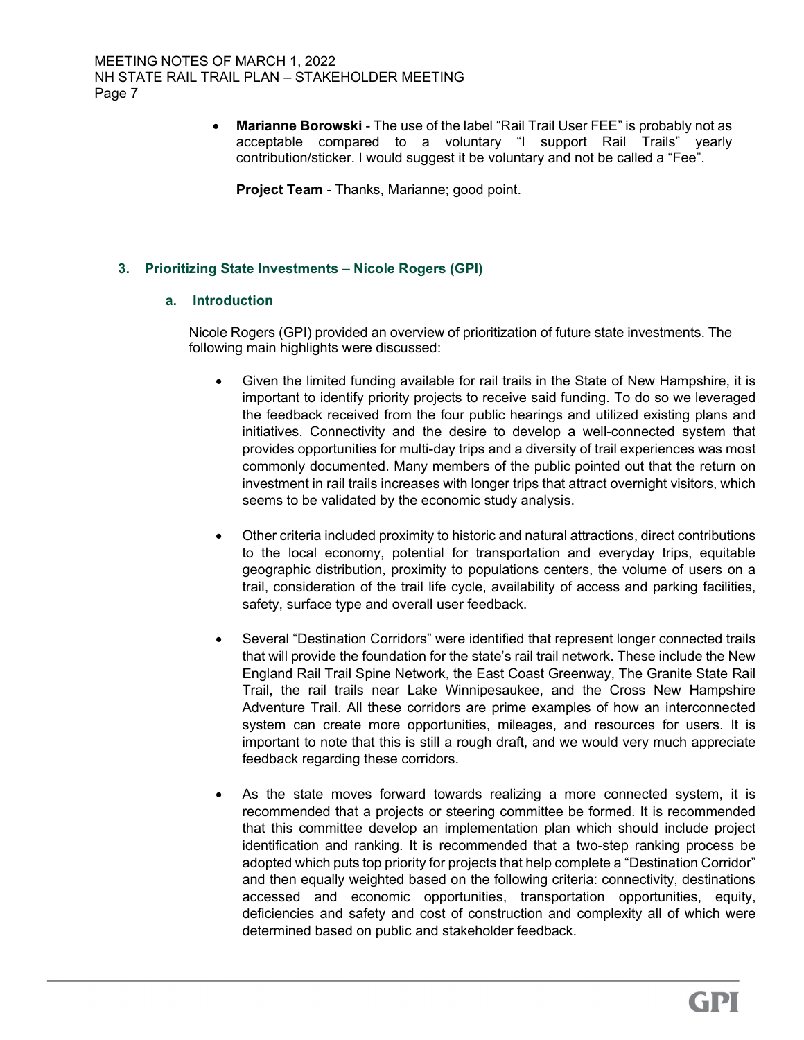Marianne Borowski - The use of the label "Rail Trail User FEE" is probably not as acceptable compared to a voluntary "I support Rail Trails" yearly contribution/sticker. I would suggest it be voluntary and not be called a "Fee".

Project Team - Thanks, Marianne; good point.

# 3. Prioritizing State Investments – Nicole Rogers (GPI)

## a. Introduction

Nicole Rogers (GPI) provided an overview of prioritization of future state investments. The following main highlights were discussed:

- Given the limited funding available for rail trails in the State of New Hampshire, it is important to identify priority projects to receive said funding. To do so we leveraged the feedback received from the four public hearings and utilized existing plans and initiatives. Connectivity and the desire to develop a well-connected system that provides opportunities for multi-day trips and a diversity of trail experiences was most commonly documented. Many members of the public pointed out that the return on investment in rail trails increases with longer trips that attract overnight visitors, which seems to be validated by the economic study analysis.
- Other criteria included proximity to historic and natural attractions, direct contributions to the local economy, potential for transportation and everyday trips, equitable geographic distribution, proximity to populations centers, the volume of users on a trail, consideration of the trail life cycle, availability of access and parking facilities, safety, surface type and overall user feedback.
- Several "Destination Corridors" were identified that represent longer connected trails that will provide the foundation for the state's rail trail network. These include the New England Rail Trail Spine Network, the East Coast Greenway, The Granite State Rail Trail, the rail trails near Lake Winnipesaukee, and the Cross New Hampshire Adventure Trail. All these corridors are prime examples of how an interconnected system can create more opportunities, mileages, and resources for users. It is important to note that this is still a rough draft, and we would very much appreciate feedback regarding these corridors.
- As the state moves forward towards realizing a more connected system, it is recommended that a projects or steering committee be formed. It is recommended that this committee develop an implementation plan which should include project identification and ranking. It is recommended that a two-step ranking process be adopted which puts top priority for projects that help complete a "Destination Corridor" and then equally weighted based on the following criteria: connectivity, destinations accessed and economic opportunities, transportation opportunities, equity, deficiencies and safety and cost of construction and complexity all of which were determined based on public and stakeholder feedback.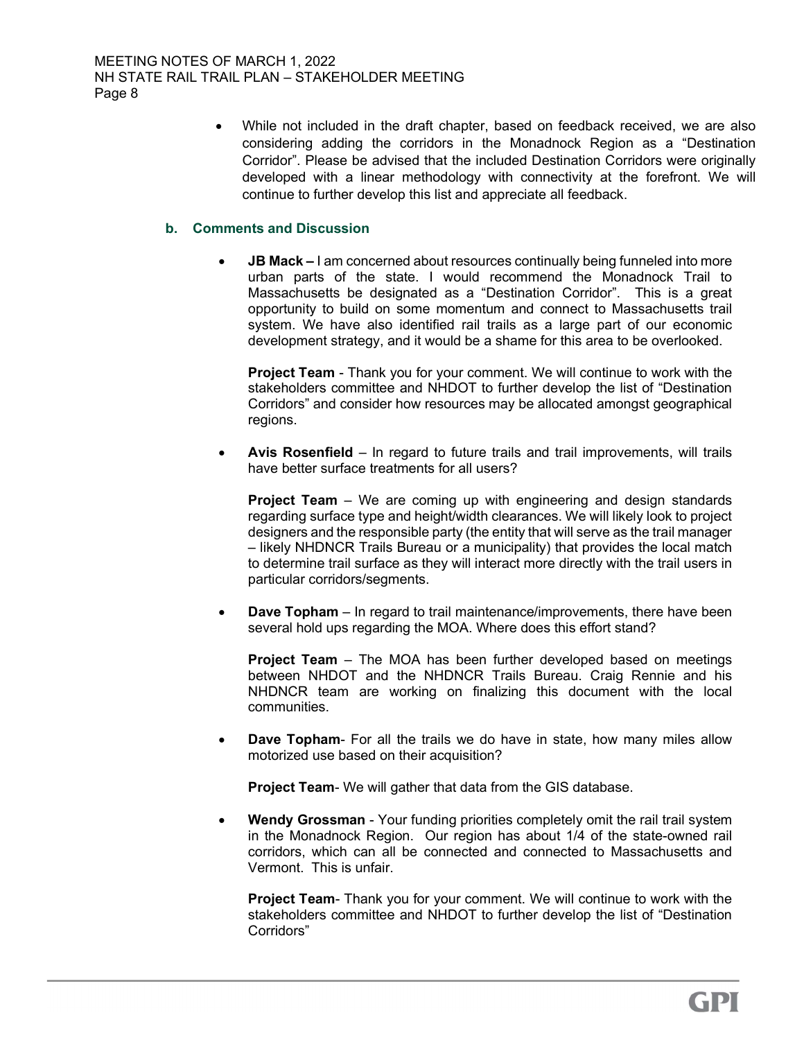While not included in the draft chapter, based on feedback received, we are also considering adding the corridors in the Monadnock Region as a "Destination Corridor". Please be advised that the included Destination Corridors were originally developed with a linear methodology with connectivity at the forefront. We will continue to further develop this list and appreciate all feedback.

# b. Comments and Discussion

• JB Mack – I am concerned about resources continually being funneled into more urban parts of the state. I would recommend the Monadnock Trail to Massachusetts be designated as a "Destination Corridor". This is a great opportunity to build on some momentum and connect to Massachusetts trail system. We have also identified rail trails as a large part of our economic development strategy, and it would be a shame for this area to be overlooked.

**Project Team** - Thank you for your comment. We will continue to work with the stakeholders committee and NHDOT to further develop the list of "Destination Corridors" and consider how resources may be allocated amongst geographical regions.

Avis Rosenfield – In regard to future trails and trail improvements, will trails have better surface treatments for all users?

**Project Team** – We are coming up with engineering and design standards regarding surface type and height/width clearances. We will likely look to project designers and the responsible party (the entity that will serve as the trail manager – likely NHDNCR Trails Bureau or a municipality) that provides the local match to determine trail surface as they will interact more directly with the trail users in particular corridors/segments.

 Dave Topham – In regard to trail maintenance/improvements, there have been several hold ups regarding the MOA. Where does this effort stand?

**Project Team** – The MOA has been further developed based on meetings between NHDOT and the NHDNCR Trails Bureau. Craig Rennie and his NHDNCR team are working on finalizing this document with the local communities.

 Dave Topham- For all the trails we do have in state, how many miles allow motorized use based on their acquisition?

Project Team- We will gather that data from the GIS database.

Wendy Grossman - Your funding priorities completely omit the rail trail system in the Monadnock Region. Our region has about 1/4 of the state-owned rail corridors, which can all be connected and connected to Massachusetts and Vermont. This is unfair.

**Project Team-** Thank you for your comment. We will continue to work with the stakeholders committee and NHDOT to further develop the list of "Destination Corridors"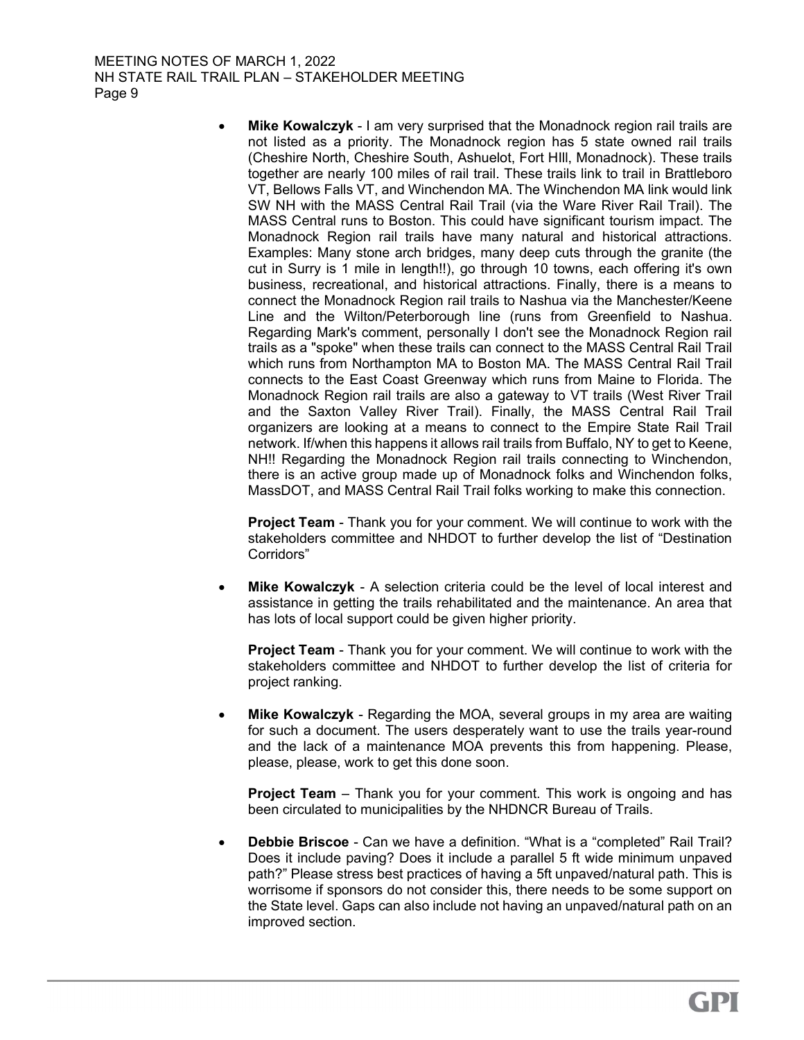MEETING NOTES OF MARCH 1, 2022 NH STATE RAIL TRAIL PLAN – STAKEHOLDER MEETING Page 9

> • Mike Kowalczyk - I am very surprised that the Monadnock region rail trails are not listed as a priority. The Monadnock region has 5 state owned rail trails (Cheshire North, Cheshire South, Ashuelot, Fort HIll, Monadnock). These trails together are nearly 100 miles of rail trail. These trails link to trail in Brattleboro VT, Bellows Falls VT, and Winchendon MA. The Winchendon MA link would link SW NH with the MASS Central Rail Trail (via the Ware River Rail Trail). The MASS Central runs to Boston. This could have significant tourism impact. The Monadnock Region rail trails have many natural and historical attractions. Examples: Many stone arch bridges, many deep cuts through the granite (the cut in Surry is 1 mile in length!!), go through 10 towns, each offering it's own business, recreational, and historical attractions. Finally, there is a means to connect the Monadnock Region rail trails to Nashua via the Manchester/Keene Line and the Wilton/Peterborough line (runs from Greenfield to Nashua. Regarding Mark's comment, personally I don't see the Monadnock Region rail trails as a "spoke" when these trails can connect to the MASS Central Rail Trail which runs from Northampton MA to Boston MA. The MASS Central Rail Trail connects to the East Coast Greenway which runs from Maine to Florida. The Monadnock Region rail trails are also a gateway to VT trails (West River Trail and the Saxton Valley River Trail). Finally, the MASS Central Rail Trail organizers are looking at a means to connect to the Empire State Rail Trail network. If/when this happens it allows rail trails from Buffalo, NY to get to Keene, NH!! Regarding the Monadnock Region rail trails connecting to Winchendon, there is an active group made up of Monadnock folks and Winchendon folks, MassDOT, and MASS Central Rail Trail folks working to make this connection.

**Project Team** - Thank you for your comment. We will continue to work with the stakeholders committee and NHDOT to further develop the list of "Destination Corridors"

 Mike Kowalczyk - A selection criteria could be the level of local interest and assistance in getting the trails rehabilitated and the maintenance. An area that has lots of local support could be given higher priority.

Project Team - Thank you for your comment. We will continue to work with the stakeholders committee and NHDOT to further develop the list of criteria for project ranking.

 Mike Kowalczyk - Regarding the MOA, several groups in my area are waiting for such a document. The users desperately want to use the trails year-round and the lack of a maintenance MOA prevents this from happening. Please, please, please, work to get this done soon.

**Project Team** – Thank you for your comment. This work is ongoing and has been circulated to municipalities by the NHDNCR Bureau of Trails.

 Debbie Briscoe - Can we have a definition. "What is a "completed" Rail Trail? Does it include paving? Does it include a parallel 5 ft wide minimum unpaved path?" Please stress best practices of having a 5ft unpaved/natural path. This is worrisome if sponsors do not consider this, there needs to be some support on the State level. Gaps can also include not having an unpaved/natural path on an improved section.